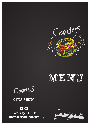



CharterS

## 01733 315700

## $f(x)$

Town Bridge, PE1 1FP www.charters-bar.com

181126